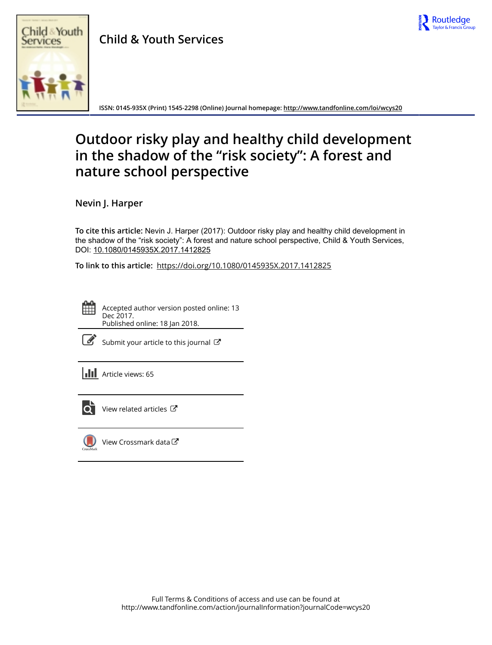

# Child & Youth Services

**Child & Youth Services**



**ISSN: 0145-935X (Print) 1545-2298 (Online) Journal homepage: <http://www.tandfonline.com/loi/wcys20>**

## **Outdoor risky play and healthy child development in the shadow of the "risk society": A forest and nature school perspective**

**Nevin J. Harper**

**To cite this article:** Nevin J. Harper (2017): Outdoor risky play and healthy child development in the shadow of the "risk society": A forest and nature school perspective, Child & Youth Services, DOI: [10.1080/0145935X.2017.1412825](http://www.tandfonline.com/action/showCitFormats?doi=10.1080/0145935X.2017.1412825)

**To link to this article:** <https://doi.org/10.1080/0145935X.2017.1412825>

Accepted author version posted online: 13 Dec 2017. Published online: 18 Jan 2018.



 $\overline{\mathscr{L}}$  [Submit your article to this journal](http://www.tandfonline.com/action/authorSubmission?journalCode=wcys20&show=instructions)  $\mathbb{Z}$ 





[View related articles](http://www.tandfonline.com/doi/mlt/10.1080/0145935X.2017.1412825)  $\mathbb{Z}$ 



[View Crossmark data](http://crossmark.crossref.org/dialog/?doi=10.1080/0145935X.2017.1412825&domain=pdf&date_stamp=2017-12-13) $G$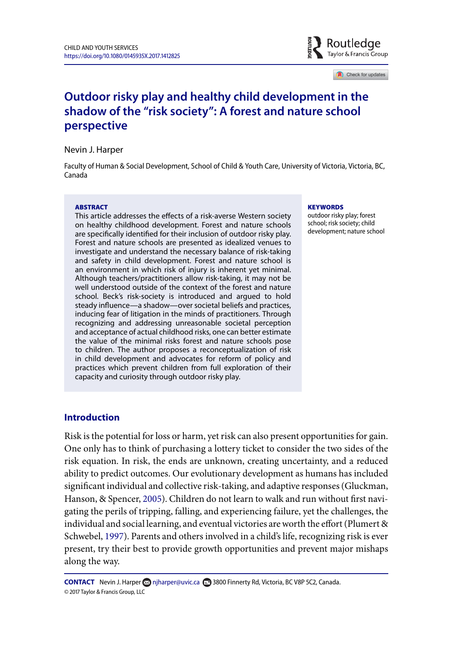

Check for updates

### **Outdoor risky play and healthy child development in the shadow of the "risk society": A forest and nature school perspective**

Nevin J. Harper

Faculty of Human & Social Development, School of Child & Youth Care, University of Victoria, Victoria, BC, Canada

#### **ABSTRACT**

This article addresses the effects of a risk-averse Western society on healthy childhood development. Forest and nature schools are specifically identified for their inclusion of outdoor risky play. Forest and nature schools are presented as idealized venues to investigate and understand the necessary balance of risk-taking and safety in child development. Forest and nature school is an environment in which risk of injury is inherent yet minimal. Although teachers/practitioners allow risk-taking, it may not be well understood outside of the context of the forest and nature school. Beck's risk-society is introduced and argued to hold steady influence—a shadow—over societal beliefs and practices, inducing fear of litigation in the minds of practitioners. Through recognizing and addressing unreasonable societal perception and acceptance of actual childhood risks, one can better estimate the value of the minimal risks forest and nature schools pose to children. The author proposes a reconceptualization of risk in child development and advocates for reform of policy and practices which prevent children from full exploration of their capacity and curiosity through outdoor risky play.

#### **KEYWORDS**

outdoor risky play; forest school; risk society; child development; nature school

#### **Introduction**

Risk is the potential for loss or harm, yet risk can also present opportunities for gain. One only has to think of purchasing a lottery ticket to consider the two sides of the risk equation. In risk, the ends are unknown, creating uncertainty, and a reduced ability to predict outcomes. Our evolutionary development as humans has included significant individual and collective risk-taking, and adaptive responses (Gluckman, Hanson, & Spencer, [2005\)](#page-15-0). Children do not learn to walk and run without first navigating the perils of tripping, falling, and experiencing failure, yet the challenges, the individual and social learning, and eventual victories are worth the effort (Plumert & Schwebel, [1997\)](#page-16-0). Parents and others involved in a child's life, recognizing risk is ever present, try their best to provide growth opportunities and prevent major mishaps along the way.

**CONTACT** Nevin J. Harper **og [njharper@uvic.ca](mailto:njharper@uvic.ca) <b>F** 3800 Finnerty Rd, Victoria, BC V8P 5C2, Canada. © 2017 Taylor & Francis Group, LLC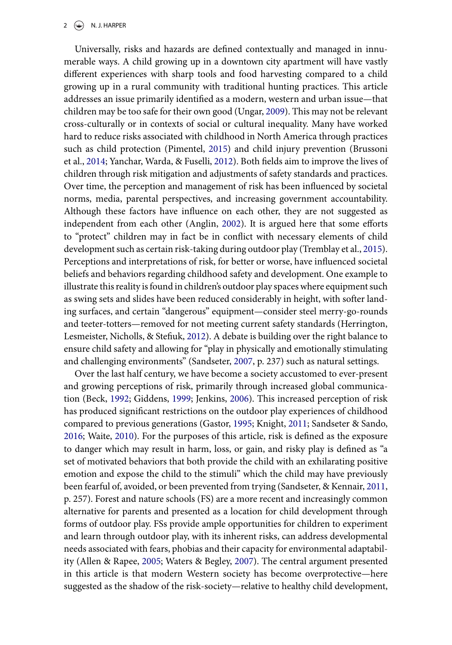#### $2 \left( \frac{1}{2} \right)$  N. J. HARPER

Universally, risks and hazards are defined contextually and managed in innumerable ways. A child growing up in a downtown city apartment will have vastly different experiences with sharp tools and food harvesting compared to a child growing up in a rural community with traditional hunting practices. This article addresses an issue primarily identified as a modern, western and urban issue—that children may be too safe for their own good (Ungar, [2009\)](#page-17-0). This may not be relevant cross-culturally or in contexts of social or cultural inequality. Many have worked hard to reduce risks associated with childhood in North America through practices such as child protection (Pimentel, [2015\)](#page-16-1) and child injury prevention (Brussoni et al., [2014;](#page-14-0) Yanchar, Warda, & Fuselli, [2012\)](#page-17-1). Both fields aim to improve the lives of children through risk mitigation and adjustments of safety standards and practices. Over time, the perception and management of risk has been influenced by societal norms, media, parental perspectives, and increasing government accountability. Although these factors have influence on each other, they are not suggested as independent from each other (Anglin, [2002\)](#page-13-0). It is argued here that some efforts to "protect" children may in fact be in conflict with necessary elements of child development such as certain risk-taking during outdoor play (Tremblay et al., [2015\)](#page-17-2). Perceptions and interpretations of risk, for better or worse, have influenced societal beliefs and behaviors regarding childhood safety and development. One example to illustrate this reality is found in children's outdoor play spaces where equipment such as swing sets and slides have been reduced considerably in height, with softer landing surfaces, and certain "dangerous" equipment—consider steel merry-go-rounds and teeter-totters—removed for not meeting current safety standards (Herrington, Lesmeister, Nicholls, & Stefiuk, [2012\)](#page-15-1). A debate is building over the right balance to ensure child safety and allowing for "play in physically and emotionally stimulating and challenging environments" (Sandseter, [2007,](#page-16-2) p. 237) such as natural settings.

Over the last half century, we have become a society accustomed to ever-present and growing perceptions of risk, primarily through increased global communication (Beck, [1992;](#page-13-1) Giddens, [1999;](#page-15-2) Jenkins, [2006\)](#page-15-3). This increased perception of risk has produced significant restrictions on the outdoor play experiences of childhood compared to previous generations (Gastor, [1995;](#page-14-1) Knight, [2011;](#page-15-4) Sandseter & Sando, [2016;](#page-16-3) Waite, [2010\)](#page-17-3). For the purposes of this article, risk is defined as the exposure to danger which may result in harm, loss, or gain, and risky play is defined as "a set of motivated behaviors that both provide the child with an exhilarating positive emotion and expose the child to the stimuli" which the child may have previously been fearful of, avoided, or been prevented from trying (Sandseter, & Kennair, [2011,](#page-16-4) p. 257). Forest and nature schools (FS) are a more recent and increasingly common alternative for parents and presented as a location for child development through forms of outdoor play. FSs provide ample opportunities for children to experiment and learn through outdoor play, with its inherent risks, can address developmental needs associated with fears, phobias and their capacity for environmental adaptability (Allen & Rapee, [2005;](#page-13-2) Waters & Begley, [2007\)](#page-17-4). The central argument presented in this article is that modern Western society has become overprotective—here suggested as the shadow of the risk-society—relative to healthy child development,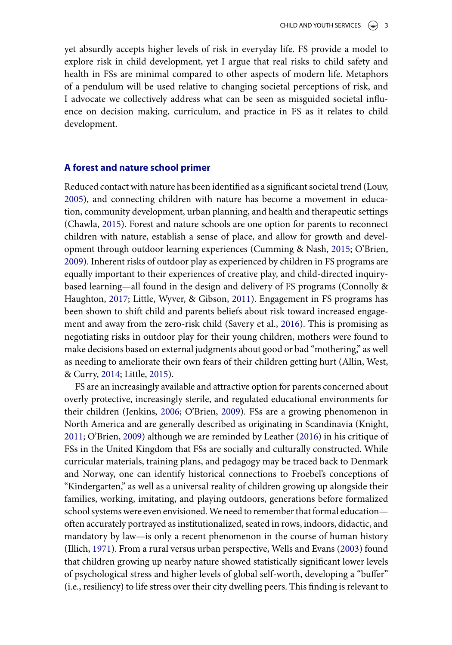yet absurdly accepts higher levels of risk in everyday life. FS provide a model to explore risk in child development, yet I argue that real risks to child safety and health in FSs are minimal compared to other aspects of modern life. Metaphors of a pendulum will be used relative to changing societal perceptions of risk, and I advocate we collectively address what can be seen as misguided societal influence on decision making, curriculum, and practice in FS as it relates to child development.

#### **A forest and nature school primer**

Reduced contact with nature has been identified as a significant societal trend (Louv, [2005\)](#page-15-5), and connecting children with nature has become a movement in education, community development, urban planning, and health and therapeutic settings (Chawla, [2015\)](#page-14-2). Forest and nature schools are one option for parents to reconnect children with nature, establish a sense of place, and allow for growth and development through outdoor learning experiences (Cumming & Nash, [2015;](#page-14-3) O'Brien, [2009\)](#page-16-5). Inherent risks of outdoor play as experienced by children in FS programs are equally important to their experiences of creative play, and child-directed inquirybased learning—all found in the design and delivery of FS programs (Connolly & Haughton, [2017;](#page-14-4) Little, Wyver, & Gibson, [2011\)](#page-15-6). Engagement in FS programs has been shown to shift child and parents beliefs about risk toward increased engagement and away from the zero-risk child (Savery et al., [2016\)](#page-17-5). This is promising as negotiating risks in outdoor play for their young children, mothers were found to make decisions based on external judgments about good or bad "mothering," as well as needing to ameliorate their own fears of their children getting hurt (Allin, West, & Curry, [2014;](#page-13-3) Little, [2015\)](#page-15-7).

FS are an increasingly available and attractive option for parents concerned about overly protective, increasingly sterile, and regulated educational environments for their children (Jenkins, [2006;](#page-15-3) O'Brien, [2009\)](#page-16-5). FSs are a growing phenomenon in North America and are generally described as originating in Scandinavia (Knight, [2011;](#page-15-4) O'Brien, [2009\)](#page-16-5) although we are reminded by Leather [\(2016\)](#page-15-8) in his critique of FSs in the United Kingdom that FSs are socially and culturally constructed. While curricular materials, training plans, and pedagogy may be traced back to Denmark and Norway, one can identify historical connections to Froebel's conceptions of "Kindergarten," as well as a universal reality of children growing up alongside their families, working, imitating, and playing outdoors, generations before formalized school systems were even envisioned.We need to remember that formal education often accurately portrayed as institutionalized, seated in rows, indoors, didactic, and mandatory by law—is only a recent phenomenon in the course of human history (Illich, [1971\)](#page-15-9). From a rural versus urban perspective, Wells and Evans [\(2003\)](#page-17-6) found that children growing up nearby nature showed statistically significant lower levels of psychological stress and higher levels of global self-worth, developing a "buffer" (i.e., resiliency) to life stress over their city dwelling peers. This finding is relevant to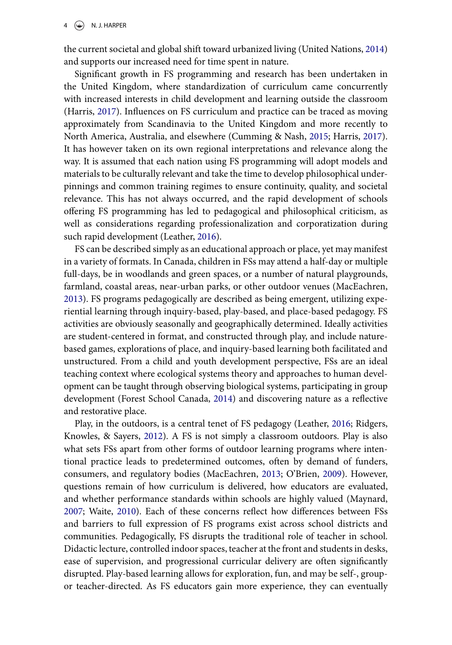the current societal and global shift toward urbanized living (United Nations, [2014\)](#page-17-7) and supports our increased need for time spent in nature.

Significant growth in FS programming and research has been undertaken in the United Kingdom, where standardization of curriculum came concurrently with increased interests in child development and learning outside the classroom (Harris, [2017\)](#page-15-10). Influences on FS curriculum and practice can be traced as moving approximately from Scandinavia to the United Kingdom and more recently to North America, Australia, and elsewhere (Cumming & Nash, [2015;](#page-14-3) Harris, [2017\)](#page-15-10). It has however taken on its own regional interpretations and relevance along the way. It is assumed that each nation using FS programming will adopt models and materials to be culturally relevant and take the time to develop philosophical underpinnings and common training regimes to ensure continuity, quality, and societal relevance. This has not always occurred, and the rapid development of schools offering FS programming has led to pedagogical and philosophical criticism, as well as considerations regarding professionalization and corporatization during such rapid development (Leather, [2016\)](#page-15-8).

FS can be described simply as an educational approach or place, yet may manifest in a variety of formats. In Canada, children in FSs may attend a half-day or multiple full-days, be in woodlands and green spaces, or a number of natural playgrounds, farmland, coastal areas, near-urban parks, or other outdoor venues (MacEachren, [2013\)](#page-15-11). FS programs pedagogically are described as being emergent, utilizing experiential learning through inquiry-based, play-based, and place-based pedagogy. FS activities are obviously seasonally and geographically determined. Ideally activities are student-centered in format, and constructed through play, and include naturebased games, explorations of place, and inquiry-based learning both facilitated and unstructured. From a child and youth development perspective, FSs are an ideal teaching context where ecological systems theory and approaches to human development can be taught through observing biological systems, participating in group development (Forest School Canada, [2014\)](#page-14-5) and discovering nature as a reflective and restorative place.

Play, in the outdoors, is a central tenet of FS pedagogy (Leather, [2016;](#page-15-8) Ridgers, Knowles, & Sayers, [2012\)](#page-16-6). A FS is not simply a classroom outdoors. Play is also what sets FSs apart from other forms of outdoor learning programs where intentional practice leads to predetermined outcomes, often by demand of funders, consumers, and regulatory bodies (MacEachren, [2013;](#page-15-11) O'Brien, [2009\)](#page-16-5). However, questions remain of how curriculum is delivered, how educators are evaluated, and whether performance standards within schools are highly valued (Maynard, [2007;](#page-16-7) Waite, [2010\)](#page-17-3). Each of these concerns reflect how differences between FSs and barriers to full expression of FS programs exist across school districts and communities. Pedagogically, FS disrupts the traditional role of teacher in school. Didactic lecture, controlled indoor spaces, teacher at the front and students in desks, ease of supervision, and progressional curricular delivery are often significantly disrupted. Play-based learning allows for exploration, fun, and may be self-, groupor teacher-directed. As FS educators gain more experience, they can eventually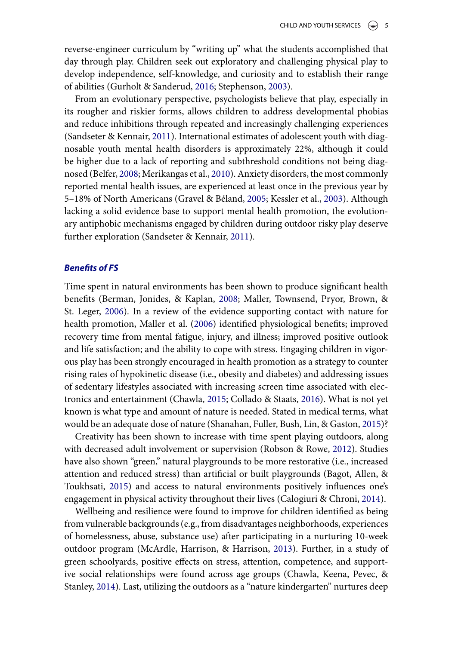reverse-engineer curriculum by "writing up" what the students accomplished that day through play. Children seek out exploratory and challenging physical play to develop independence, self-knowledge, and curiosity and to establish their range of abilities (Gurholt & Sanderud, [2016;](#page-15-12) Stephenson, [2003\)](#page-17-8).

From an evolutionary perspective, psychologists believe that play, especially in its rougher and riskier forms, allows children to address developmental phobias and reduce inhibitions through repeated and increasingly challenging experiences (Sandseter & Kennair, [2011\)](#page-16-4). International estimates of adolescent youth with diagnosable youth mental health disorders is approximately 22%, although it could be higher due to a lack of reporting and subthreshold conditions not being diagnosed (Belfer, [2008;](#page-13-4) Merikangas et al., [2010\)](#page-16-8). Anxiety disorders, the most commonly reported mental health issues, are experienced at least once in the previous year by 5–18% of North Americans (Gravel & Béland, [2005;](#page-15-13) Kessler et al., [2003\)](#page-15-14). Although lacking a solid evidence base to support mental health promotion, the evolutionary antiphobic mechanisms engaged by children during outdoor risky play deserve further exploration (Sandseter & Kennair, [2011\)](#page-16-4).

#### *Benefits of FS*

Time spent in natural environments has been shown to produce significant health benefits (Berman, Jonides, & Kaplan, [2008;](#page-13-5) Maller, Townsend, Pryor, Brown, & St. Leger, [2006\)](#page-16-9). In a review of the evidence supporting contact with nature for health promotion, Maller et al. [\(2006\)](#page-16-9) identified physiological benefits; improved recovery time from mental fatigue, injury, and illness; improved positive outlook and life satisfaction; and the ability to cope with stress. Engaging children in vigorous play has been strongly encouraged in health promotion as a strategy to counter rising rates of hypokinetic disease (i.e., obesity and diabetes) and addressing issues of sedentary lifestyles associated with increasing screen time associated with electronics and entertainment (Chawla, [2015;](#page-14-2) Collado & Staats, [2016\)](#page-14-6). What is not yet known is what type and amount of nature is needed. Stated in medical terms, what would be an adequate dose of nature (Shanahan, Fuller, Bush, Lin, & Gaston, [2015\)](#page-17-9)?

Creativity has been shown to increase with time spent playing outdoors, along with decreased adult involvement or supervision (Robson & Rowe, [2012\)](#page-16-10). Studies have also shown "green," natural playgrounds to be more restorative (i.e., increased attention and reduced stress) than artificial or built playgrounds (Bagot, Allen, & Toukhsati, [2015\)](#page-13-6) and access to natural environments positively influences one's engagement in physical activity throughout their lives (Calogiuri & Chroni, [2014\)](#page-14-7).

Wellbeing and resilience were found to improve for children identified as being from vulnerable backgrounds (e.g., from disadvantages neighborhoods, experiences of homelessness, abuse, substance use) after participating in a nurturing 10-week outdoor program (McArdle, Harrison, & Harrison, [2013\)](#page-16-11). Further, in a study of green schoolyards, positive effects on stress, attention, competence, and supportive social relationships were found across age groups (Chawla, Keena, Pevec, & Stanley, [2014\)](#page-14-8). Last, utilizing the outdoors as a "nature kindergarten" nurtures deep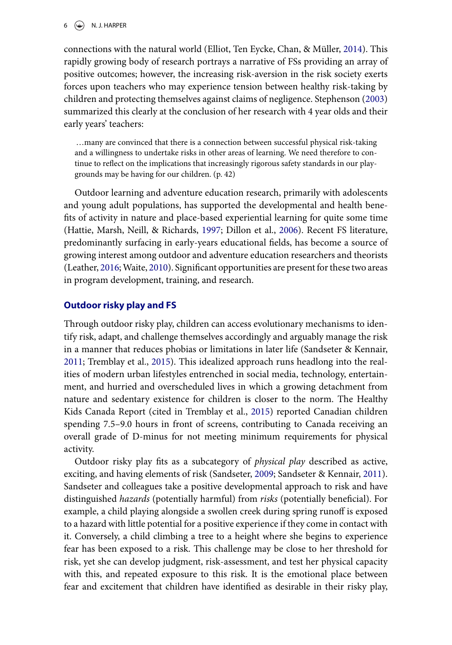connections with the natural world (Elliot, Ten Eycke, Chan, & Müller, [2014\)](#page-14-9). This rapidly growing body of research portrays a narrative of FSs providing an array of positive outcomes; however, the increasing risk-aversion in the risk society exerts forces upon teachers who may experience tension between healthy risk-taking by children and protecting themselves against claims of negligence. Stephenson [\(2003\)](#page-17-8) summarized this clearly at the conclusion of her research with 4 year olds and their early years' teachers:

…many are convinced that there is a connection between successful physical risk-taking and a willingness to undertake risks in other areas of learning. We need therefore to continue to reflect on the implications that increasingly rigorous safety standards in our playgrounds may be having for our children. (p. 42)

Outdoor learning and adventure education research, primarily with adolescents and young adult populations, has supported the developmental and health benefits of activity in nature and place-based experiential learning for quite some time (Hattie, Marsh, Neill, & Richards, [1997;](#page-15-15) Dillon et al., [2006\)](#page-14-10). Recent FS literature, predominantly surfacing in early-years educational fields, has become a source of growing interest among outdoor and adventure education researchers and theorists (Leather, [2016;](#page-15-8)Waite, [2010\)](#page-17-3). Significant opportunities are present for these two areas in program development, training, and research.

#### **Outdoor risky play and FS**

Through outdoor risky play, children can access evolutionary mechanisms to identify risk, adapt, and challenge themselves accordingly and arguably manage the risk in a manner that reduces phobias or limitations in later life (Sandseter & Kennair, [2011;](#page-16-4) Tremblay et al., [2015\)](#page-17-2). This idealized approach runs headlong into the realities of modern urban lifestyles entrenched in social media, technology, entertainment, and hurried and overscheduled lives in which a growing detachment from nature and sedentary existence for children is closer to the norm. The Healthy Kids Canada Report (cited in Tremblay et al., [2015\)](#page-17-2) reported Canadian children spending 7.5–9.0 hours in front of screens, contributing to Canada receiving an overall grade of D-minus for not meeting minimum requirements for physical activity.

Outdoor risky play fits as a subcategory of *physical play* described as active, exciting, and having elements of risk (Sandseter, [2009;](#page-16-12) Sandseter & Kennair, [2011\)](#page-16-4). Sandseter and colleagues take a positive developmental approach to risk and have distinguished *hazards* (potentially harmful) from *risks* (potentially beneficial). For example, a child playing alongside a swollen creek during spring runoff is exposed to a hazard with little potential for a positive experience if they come in contact with it. Conversely, a child climbing a tree to a height where she begins to experience fear has been exposed to a risk. This challenge may be close to her threshold for risk, yet she can develop judgment, risk-assessment, and test her physical capacity with this, and repeated exposure to this risk. It is the emotional place between fear and excitement that children have identified as desirable in their risky play,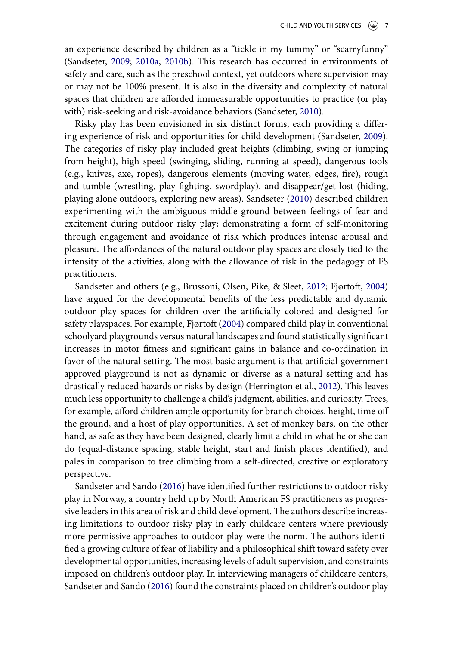an experience described by children as a "tickle in my tummy" or "scarryfunny" (Sandseter, [2009;](#page-16-12) [2010a;](#page-16-13) [2010b\)](#page-16-14). This research has occurred in environments of safety and care, such as the preschool context, yet outdoors where supervision may or may not be 100% present. It is also in the diversity and complexity of natural spaces that children are afforded immeasurable opportunities to practice (or play with) risk-seeking and risk-avoidance behaviors (Sandseter, [2010\)](#page-16-13).

Risky play has been envisioned in six distinct forms, each providing a differing experience of risk and opportunities for child development (Sandseter, [2009\)](#page-16-12). The categories of risky play included great heights (climbing, swing or jumping from height), high speed (swinging, sliding, running at speed), dangerous tools (e.g., knives, axe, ropes), dangerous elements (moving water, edges, fire), rough and tumble (wrestling, play fighting, swordplay), and disappear/get lost (hiding, playing alone outdoors, exploring new areas). Sandseter [\(2010\)](#page-16-13) described children experimenting with the ambiguous middle ground between feelings of fear and excitement during outdoor risky play; demonstrating a form of self-monitoring through engagement and avoidance of risk which produces intense arousal and pleasure. The affordances of the natural outdoor play spaces are closely tied to the intensity of the activities, along with the allowance of risk in the pedagogy of FS practitioners.

Sandseter and others (e.g., Brussoni, Olsen, Pike, & Sleet, [2012;](#page-14-11) Fjørtoft, [2004\)](#page-14-12) have argued for the developmental benefits of the less predictable and dynamic outdoor play spaces for children over the artificially colored and designed for safety playspaces. For example, Fjørtoft [\(2004\)](#page-14-12) compared child play in conventional schoolyard playgrounds versus natural landscapes and found statistically significant increases in motor fitness and significant gains in balance and co-ordination in favor of the natural setting. The most basic argument is that artificial government approved playground is not as dynamic or diverse as a natural setting and has drastically reduced hazards or risks by design (Herrington et al., [2012\)](#page-15-1). This leaves much less opportunity to challenge a child's judgment, abilities, and curiosity. Trees, for example, afford children ample opportunity for branch choices, height, time off the ground, and a host of play opportunities. A set of monkey bars, on the other hand, as safe as they have been designed, clearly limit a child in what he or she can do (equal-distance spacing, stable height, start and finish places identified), and pales in comparison to tree climbing from a self-directed, creative or exploratory perspective.

Sandseter and Sando [\(2016\)](#page-16-3) have identified further restrictions to outdoor risky play in Norway, a country held up by North American FS practitioners as progressive leaders in this area of risk and child development. The authors describe increasing limitations to outdoor risky play in early childcare centers where previously more permissive approaches to outdoor play were the norm. The authors identified a growing culture of fear of liability and a philosophical shift toward safety over developmental opportunities, increasing levels of adult supervision, and constraints imposed on children's outdoor play. In interviewing managers of childcare centers, Sandseter and Sando [\(2016\)](#page-16-3) found the constraints placed on children's outdoor play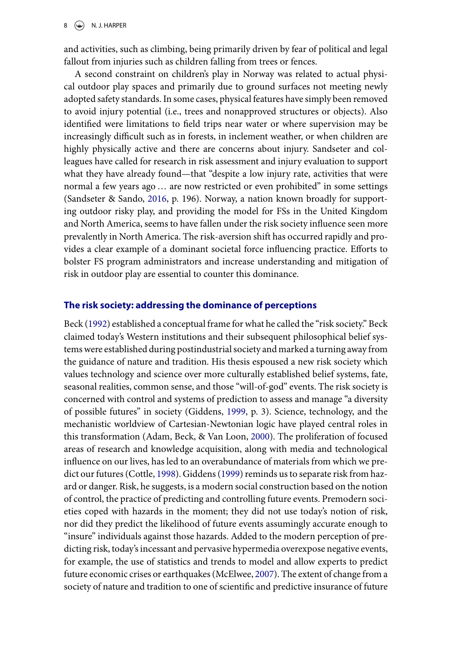and activities, such as climbing, being primarily driven by fear of political and legal fallout from injuries such as children falling from trees or fences.

A second constraint on children's play in Norway was related to actual physical outdoor play spaces and primarily due to ground surfaces not meeting newly adopted safety standards. In some cases, physical features have simply been removed to avoid injury potential (i.e., trees and nonapproved structures or objects). Also identified were limitations to field trips near water or where supervision may be increasingly difficult such as in forests, in inclement weather, or when children are highly physically active and there are concerns about injury. Sandseter and colleagues have called for research in risk assessment and injury evaluation to support what they have already found—that "despite a low injury rate, activities that were normal a few years ago … are now restricted or even prohibited" in some settings (Sandseter & Sando, [2016,](#page-16-3) p. 196). Norway, a nation known broadly for supporting outdoor risky play, and providing the model for FSs in the United Kingdom and North America, seems to have fallen under the risk society influence seen more prevalently in North America. The risk-aversion shift has occurred rapidly and provides a clear example of a dominant societal force influencing practice. Efforts to bolster FS program administrators and increase understanding and mitigation of risk in outdoor play are essential to counter this dominance.

#### **The risk society: addressing the dominance of perceptions**

Beck [\(1992\)](#page-13-1) established a conceptual frame for what he called the "risk society." Beck claimed today's Western institutions and their subsequent philosophical belief systems were established during postindustrial society and marked a turning away from the guidance of nature and tradition. His thesis espoused a new risk society which values technology and science over more culturally established belief systems, fate, seasonal realities, common sense, and those "will-of-god" events. The risk society is concerned with control and systems of prediction to assess and manage "a diversity of possible futures" in society (Giddens, [1999,](#page-15-2) p. 3). Science, technology, and the mechanistic worldview of Cartesian-Newtonian logic have played central roles in this transformation (Adam, Beck, & Van Loon, [2000\)](#page-13-7). The proliferation of focused areas of research and knowledge acquisition, along with media and technological influence on our lives, has led to an overabundance of materials from which we predict our futures (Cottle, [1998\)](#page-14-13). Giddens [\(1999\)](#page-15-2) reminds us to separate risk from hazard or danger. Risk, he suggests, is a modern social construction based on the notion of control, the practice of predicting and controlling future events. Premodern societies coped with hazards in the moment; they did not use today's notion of risk, nor did they predict the likelihood of future events assumingly accurate enough to "insure" individuals against those hazards. Added to the modern perception of predicting risk, today's incessant and pervasive hypermedia overexpose negative events, for example, the use of statistics and trends to model and allow experts to predict future economic crises or earthquakes (McElwee, [2007\)](#page-16-15). The extent of change from a society of nature and tradition to one of scientific and predictive insurance of future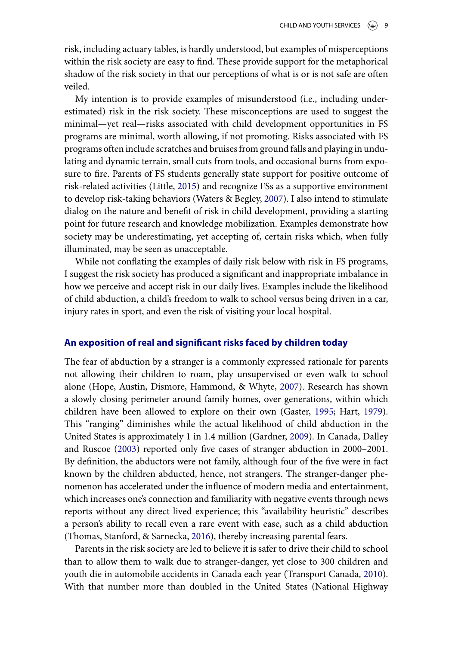risk, including actuary tables, is hardly understood, but examples of misperceptions within the risk society are easy to find. These provide support for the metaphorical shadow of the risk society in that our perceptions of what is or is not safe are often veiled.

My intention is to provide examples of misunderstood (i.e., including underestimated) risk in the risk society. These misconceptions are used to suggest the minimal—yet real—risks associated with child development opportunities in FS programs are minimal, worth allowing, if not promoting. Risks associated with FS programs often include scratches and bruises from ground falls and playing in undulating and dynamic terrain, small cuts from tools, and occasional burns from exposure to fire. Parents of FS students generally state support for positive outcome of risk-related activities (Little, [2015\)](#page-15-7) and recognize FSs as a supportive environment to develop risk-taking behaviors (Waters & Begley, [2007\)](#page-17-4). I also intend to stimulate dialog on the nature and benefit of risk in child development, providing a starting point for future research and knowledge mobilization. Examples demonstrate how society may be underestimating, yet accepting of, certain risks which, when fully illuminated, may be seen as unacceptable.

While not conflating the examples of daily risk below with risk in FS programs, I suggest the risk society has produced a significant and inappropriate imbalance in how we perceive and accept risk in our daily lives. Examples include the likelihood of child abduction, a child's freedom to walk to school versus being driven in a car, injury rates in sport, and even the risk of visiting your local hospital.

#### **An exposition of real and significant risks faced by children today**

The fear of abduction by a stranger is a commonly expressed rationale for parents not allowing their children to roam, play unsupervised or even walk to school alone (Hope, Austin, Dismore, Hammond, & Whyte, [2007\)](#page-15-16). Research has shown a slowly closing perimeter around family homes, over generations, within which children have been allowed to explore on their own (Gaster, [1995;](#page-14-1) Hart, [1979\)](#page-15-17). This "ranging" diminishes while the actual likelihood of child abduction in the United States is approximately 1 in 1.4 million (Gardner, [2009\)](#page-14-14). In Canada, Dalley and Ruscoe [\(2003\)](#page-14-15) reported only five cases of stranger abduction in 2000–2001. By definition, the abductors were not family, although four of the five were in fact known by the children abducted, hence, not strangers. The stranger-danger phenomenon has accelerated under the influence of modern media and entertainment, which increases one's connection and familiarity with negative events through news reports without any direct lived experience; this "availability heuristic" describes a person's ability to recall even a rare event with ease, such as a child abduction (Thomas, Stanford, & Sarnecka, [2016\)](#page-17-10), thereby increasing parental fears.

Parents in the risk society are led to believe it is safer to drive their child to school than to allow them to walk due to stranger-danger, yet close to 300 children and youth die in automobile accidents in Canada each year (Transport Canada, [2010\)](#page-17-11). With that number more than doubled in the United States (National Highway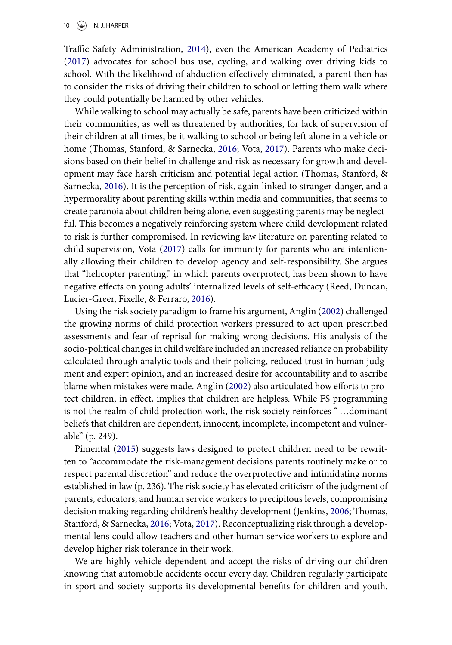#### $10 \quad \textcircled{\LARGE{\LARGE{\textcircled{\text{N. J. HARPER}}}}$

Traffic Safety Administration, [2014\)](#page-16-16), even the American Academy of Pediatrics [\(2017\)](#page-13-8) advocates for school bus use, cycling, and walking over driving kids to school. With the likelihood of abduction effectively eliminated, a parent then has to consider the risks of driving their children to school or letting them walk where they could potentially be harmed by other vehicles.

While walking to school may actually be safe, parents have been criticized within their communities, as well as threatened by authorities, for lack of supervision of their children at all times, be it walking to school or being left alone in a vehicle or home (Thomas, Stanford, & Sarnecka, [2016;](#page-17-10) Vota, [2017\)](#page-17-12). Parents who make decisions based on their belief in challenge and risk as necessary for growth and development may face harsh criticism and potential legal action (Thomas, Stanford, & Sarnecka, [2016\)](#page-17-10). It is the perception of risk, again linked to stranger-danger, and a hypermorality about parenting skills within media and communities, that seems to create paranoia about children being alone, even suggesting parents may be neglectful. This becomes a negatively reinforcing system where child development related to risk is further compromised. In reviewing law literature on parenting related to child supervision, Vota [\(2017\)](#page-17-12) calls for immunity for parents who are intentionally allowing their children to develop agency and self-responsibility. She argues that "helicopter parenting," in which parents overprotect, has been shown to have negative effects on young adults' internalized levels of self-efficacy (Reed, Duncan, Lucier-Greer, Fixelle, & Ferraro, [2016\)](#page-16-17).

Using the risk society paradigm to frame his argument, Anglin [\(2002\)](#page-13-0) challenged the growing norms of child protection workers pressured to act upon prescribed assessments and fear of reprisal for making wrong decisions. His analysis of the socio-political changes in child welfare included an increased reliance on probability calculated through analytic tools and their policing, reduced trust in human judgment and expert opinion, and an increased desire for accountability and to ascribe blame when mistakes were made. Anglin [\(2002\)](#page-13-0) also articulated how efforts to protect children, in effect, implies that children are helpless. While FS programming is not the realm of child protection work, the risk society reinforces " …dominant beliefs that children are dependent, innocent, incomplete, incompetent and vulnerable" (p. 249).

Pimental [\(2015\)](#page-16-1) suggests laws designed to protect children need to be rewritten to "accommodate the risk-management decisions parents routinely make or to respect parental discretion" and reduce the overprotective and intimidating norms established in law (p. 236). The risk society has elevated criticism of the judgment of parents, educators, and human service workers to precipitous levels, compromising decision making regarding children's healthy development (Jenkins, [2006;](#page-15-3) Thomas, Stanford, & Sarnecka, [2016;](#page-17-10) Vota, [2017\)](#page-17-12). Reconceptualizing risk through a developmental lens could allow teachers and other human service workers to explore and develop higher risk tolerance in their work.

We are highly vehicle dependent and accept the risks of driving our children knowing that automobile accidents occur every day. Children regularly participate in sport and society supports its developmental benefits for children and youth.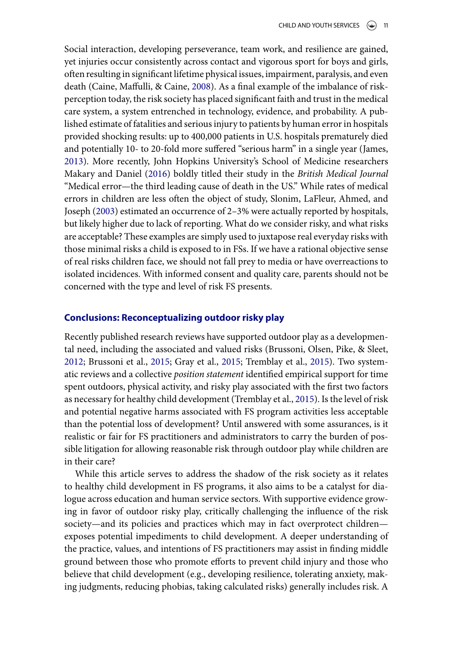Social interaction, developing perseverance, team work, and resilience are gained, yet injuries occur consistently across contact and vigorous sport for boys and girls, often resulting in significant lifetime physical issues, impairment, paralysis, and even death (Caine, Maffulli, & Caine, [2008\)](#page-14-16). As a final example of the imbalance of riskperception today, the risk society has placed significant faith and trust in the medical care system, a system entrenched in technology, evidence, and probability. A published estimate of fatalities and serious injury to patients by human error in hospitals provided shocking results: up to 400,000 patients in U.S. hospitals prematurely died and potentially 10- to 20-fold more suffered "serious harm" in a single year (James, [2013\)](#page-15-18). More recently, John Hopkins University's School of Medicine researchers Makary and Daniel [\(2016\)](#page-15-19) boldly titled their study in the *British Medical Journal* "Medical error—the third leading cause of death in the US." While rates of medical errors in children are less often the object of study, Slonim, LaFleur, Ahmed, and Joseph [\(2003\)](#page-17-13) estimated an occurrence of 2–3% were actually reported by hospitals, but likely higher due to lack of reporting. What do we consider risky, and what risks are acceptable? These examples are simply used to juxtapose real everyday risks with those minimal risks a child is exposed to in FSs. If we have a rational objective sense of real risks children face, we should not fall prey to media or have overreactions to isolated incidences. With informed consent and quality care, parents should not be concerned with the type and level of risk FS presents.

#### **Conclusions: Reconceptualizing outdoor risky play**

Recently published research reviews have supported outdoor play as a developmental need, including the associated and valued risks (Brussoni, Olsen, Pike, & Sleet, [2012;](#page-14-11) Brussoni et al., [2015;](#page-14-17) Gray et al., [2015;](#page-15-20) Tremblay et al., [2015\)](#page-17-2). Two systematic reviews and a collective *position statement* identified empirical support for time spent outdoors, physical activity, and risky play associated with the first two factors as necessary for healthy child development (Tremblay et al., [2015\)](#page-17-2). Is the level of risk and potential negative harms associated with FS program activities less acceptable than the potential loss of development? Until answered with some assurances, is it realistic or fair for FS practitioners and administrators to carry the burden of possible litigation for allowing reasonable risk through outdoor play while children are in their care?

While this article serves to address the shadow of the risk society as it relates to healthy child development in FS programs, it also aims to be a catalyst for dialogue across education and human service sectors. With supportive evidence growing in favor of outdoor risky play, critically challenging the influence of the risk society—and its policies and practices which may in fact overprotect children exposes potential impediments to child development. A deeper understanding of the practice, values, and intentions of FS practitioners may assist in finding middle ground between those who promote efforts to prevent child injury and those who believe that child development (e.g., developing resilience, tolerating anxiety, making judgments, reducing phobias, taking calculated risks) generally includes risk. A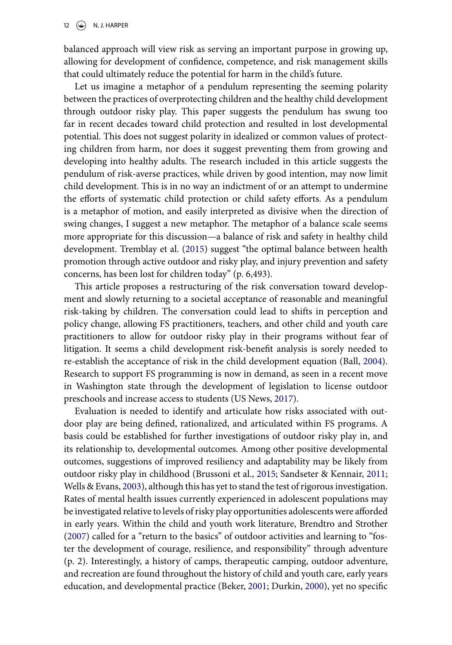balanced approach will view risk as serving an important purpose in growing up, allowing for development of confidence, competence, and risk management skills that could ultimately reduce the potential for harm in the child's future.

Let us imagine a metaphor of a pendulum representing the seeming polarity between the practices of overprotecting children and the healthy child development through outdoor risky play. This paper suggests the pendulum has swung too far in recent decades toward child protection and resulted in lost developmental potential. This does not suggest polarity in idealized or common values of protecting children from harm, nor does it suggest preventing them from growing and developing into healthy adults. The research included in this article suggests the pendulum of risk-averse practices, while driven by good intention, may now limit child development. This is in no way an indictment of or an attempt to undermine the efforts of systematic child protection or child safety efforts. As a pendulum is a metaphor of motion, and easily interpreted as divisive when the direction of swing changes, I suggest a new metaphor. The metaphor of a balance scale seems more appropriate for this discussion—a balance of risk and safety in healthy child development. Tremblay et al. [\(2015\)](#page-17-2) suggest "the optimal balance between health promotion through active outdoor and risky play, and injury prevention and safety concerns, has been lost for children today" (p. 6,493).

This article proposes a restructuring of the risk conversation toward development and slowly returning to a societal acceptance of reasonable and meaningful risk-taking by children. The conversation could lead to shifts in perception and policy change, allowing FS practitioners, teachers, and other child and youth care practitioners to allow for outdoor risky play in their programs without fear of litigation. It seems a child development risk-benefit analysis is sorely needed to re-establish the acceptance of risk in the child development equation (Ball, [2004\)](#page-13-9). Research to support FS programming is now in demand, as seen in a recent move in Washington state through the development of legislation to license outdoor preschools and increase access to students (US News, [2017\)](#page-17-7).

Evaluation is needed to identify and articulate how risks associated with outdoor play are being defined, rationalized, and articulated within FS programs. A basis could be established for further investigations of outdoor risky play in, and its relationship to, developmental outcomes. Among other positive developmental outcomes, suggestions of improved resiliency and adaptability may be likely from outdoor risky play in childhood (Brussoni et al., [2015;](#page-14-17) Sandseter & Kennair, [2011;](#page-16-4) Wells & Evans, [2003\)](#page-17-6), although this has yet to stand the test of rigorous investigation. Rates of mental health issues currently experienced in adolescent populations may be investigated relative to levels of risky play opportunities adolescents were afforded in early years. Within the child and youth work literature, Brendtro and Strother [\(2007\)](#page-13-10) called for a "return to the basics" of outdoor activities and learning to "foster the development of courage, resilience, and responsibility" through adventure (p. 2). Interestingly, a history of camps, therapeutic camping, outdoor adventure, and recreation are found throughout the history of child and youth care, early years education, and developmental practice (Beker, [2001;](#page-13-11) Durkin, [2000\)](#page-14-18), yet no specific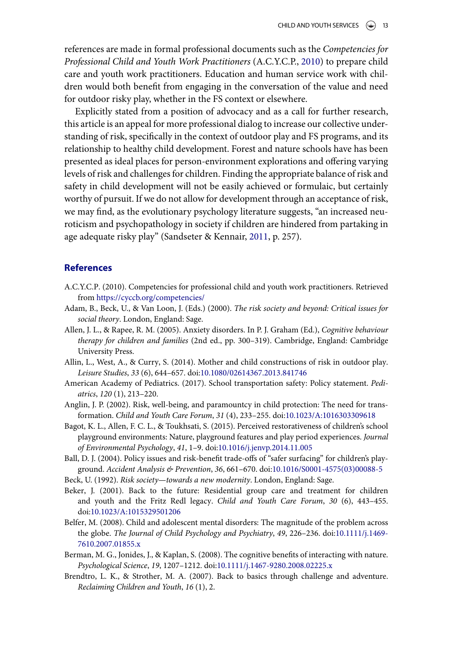references are made in formal professional documents such as the *Competencies for Professional Child and Youth Work Practitioners* (A.C.Y.C.P., [2010\)](#page-13-12) to prepare child care and youth work practitioners. Education and human service work with children would both benefit from engaging in the conversation of the value and need for outdoor risky play, whether in the FS context or elsewhere.

Explicitly stated from a position of advocacy and as a call for further research, this article is an appeal for more professional dialog to increase our collective understanding of risk, specifically in the context of outdoor play and FS programs, and its relationship to healthy child development. Forest and nature schools have has been presented as ideal places for person-environment explorations and offering varying levels of risk and challenges for children. Finding the appropriate balance of risk and safety in child development will not be easily achieved or formulaic, but certainly worthy of pursuit. If we do not allow for development through an acceptance of risk, we may find, as the evolutionary psychology literature suggests, "an increased neuroticism and psychopathology in society if children are hindered from partaking in age adequate risky play" (Sandseter & Kennair, [2011,](#page-16-4) p. 257).

#### **References**

- <span id="page-13-12"></span>A.C.Y.C.P. (2010). Competencies for professional child and youth work practitioners. Retrieved from <https://cyccb.org/competencies/>
- <span id="page-13-7"></span>Adam, B., Beck, U., & Van Loon, J. (Eds.) (2000). *The risk society and beyond: Critical issues for social theory*. London, England: Sage.
- <span id="page-13-2"></span>Allen, J. L., & Rapee, R. M. (2005). Anxiety disorders. In P. J. Graham (Ed.), *Cognitive behaviour therapy for children and families* (2nd ed., pp. 300–319). Cambridge, England: Cambridge University Press.
- <span id="page-13-3"></span>Allin, L., West, A., & Curry, S. (2014). Mother and child constructions of risk in outdoor play. *Leisure Studies*, *33* (6), 644–657. doi[:10.1080/02614367.2013.841746](https://doi.org/10.1080/02614367.2013.841746)
- <span id="page-13-8"></span>American Academy of Pediatrics. (2017). School transportation safety: Policy statement. *Pediatrics*, *120* (1), 213–220.
- <span id="page-13-0"></span>Anglin, J. P. (2002). Risk, well-being, and paramountcy in child protection: The need for transformation. *Child and Youth Care Forum*, *31* (4), 233–255. doi[:10.1023/A:1016303309618](https://doi.org/10.1023/A:1016303309618)
- <span id="page-13-6"></span>Bagot, K. L., Allen, F. C. L., & Toukhsati, S. (2015). Perceived restorativeness of children's school playground environments: Nature, playground features and play period experiences. *Journal of Environmental Psychology*, *41*, 1–9. doi[:10.1016/j.jenvp.2014.11.005](https://doi.org/10.1016/j.jenvp.2014.11.005)
- <span id="page-13-9"></span>Ball, D. J. (2004). Policy issues and risk-benefit trade-offs of "safer surfacing" for children's playground. *Accident Analysis & Prevention*, *36*, 661–670. doi[:10.1016/S0001-4575\(03\)00088-5](https://doi.org/10.1016/S0001-4575(03)00088-5)
- <span id="page-13-1"></span>Beck, U. (1992). *Risk society—towards a new modernity*. London, England: Sage.
- <span id="page-13-11"></span>Beker, J. (2001). Back to the future: Residential group care and treatment for children and youth and the Fritz Redl legacy. *Child and Youth Care Forum*, *30* (6), 443–455. doi[:10.1023/A:1015329501206](https://doi.org/10.1023/A:1015329501206)
- <span id="page-13-4"></span>Belfer, M. (2008). Child and adolescent mental disorders: The magnitude of the problem across the globe. *[The Journal of Child Psychology and Psychiatry](https://doi.org/10.1111/j.1469-7610.2007.01855.x)*, *49*, 226–236. doi:10.1111/j.1469- 7610.2007.01855.x
- <span id="page-13-5"></span>Berman, M. G., Jonides, J., & Kaplan, S. (2008). The cognitive benefits of interacting with nature. *Psychological Science*, *19*, 1207–1212. doi[:10.1111/j.1467-9280.2008.02225.x](https://doi.org/10.1111/j.1467-9280.2008.02225.x)
- <span id="page-13-10"></span>Brendtro, L. K., & Strother, M. A. (2007). Back to basics through challenge and adventure. *Reclaiming Children and Youth*, *16* (1), 2.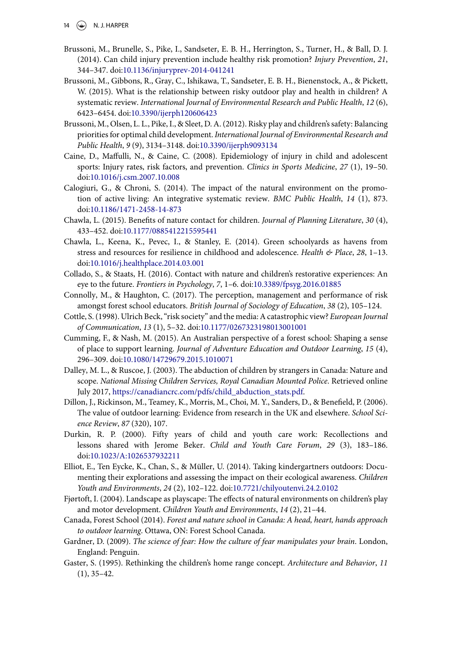- 14  $\left(\bigcirc\right)$  N. J. HARPER
- <span id="page-14-0"></span>Brussoni, M., Brunelle, S., Pike, I., Sandseter, E. B. H., Herrington, S., Turner, H., & Ball, D. J. (2014). Can child injury prevention include healthy risk promotion? *Injury Prevention*, *21*, 344–347. doi[:10.1136/injuryprev-2014-041241](https://doi.org/10.1136/injuryprev-2014-041241)
- <span id="page-14-17"></span>Brussoni, M., Gibbons, R., Gray, C., Ishikawa, T., Sandseter, E. B. H., Bienenstock, A., & Pickett, W. (2015). What is the relationship between risky outdoor play and health in children? A systematic review. *International Journal of Environmental Research and Public Health*, *12* (6), 6423–6454. doi[:10.3390/ijerph120606423](https://doi.org/10.3390/ijerph120606423)
- <span id="page-14-11"></span>Brussoni, M., Olsen, L. L., Pike, I., & Sleet, D. A. (2012). Risky play and children's safety: Balancing priorities for optimal child development. *International Journal of Environmental Research and Public Health*, *9* (9), 3134–3148. doi[:10.3390/ijerph9093134](https://doi.org/10.3390/ijerph9093134)
- <span id="page-14-16"></span>Caine, D., Maffulli, N., & Caine, C. (2008). Epidemiology of injury in child and adolescent sports: Injury rates, risk factors, and prevention. *Clinics in Sports Medicine*, *27* (1), 19–50. doi[:10.1016/j.csm.2007.10.008](https://doi.org/10.1016/j.csm.2007.10.008)
- <span id="page-14-7"></span>Calogiuri, G., & Chroni, S. (2014). The impact of the natural environment on the promotion of active living: An integrative systematic review. *BMC Public Health*, *14* (1), 873. doi[:10.1186/1471-2458-14-873](https://doi.org/10.1186/1471-2458-14-873)
- <span id="page-14-2"></span>Chawla, L. (2015). Benefits of nature contact for children. *Journal of Planning Literature*, *30* (4), 433–452. doi[:10.1177/0885412215595441](https://doi.org/10.1177/0885412215595441)
- <span id="page-14-8"></span>Chawla, L., Keena, K., Pevec, I., & Stanley, E. (2014). Green schoolyards as havens from stress and resources for resilience in childhood and adolescence. *Health & Place*, *28*, 1–13. doi[:10.1016/j.healthplace.2014.03.001](https://doi.org/10.1016/j.healthplace.2014.03.001)
- <span id="page-14-6"></span>Collado, S., & Staats, H. (2016). Contact with nature and children's restorative experiences: An eye to the future. *Frontiers in Psychology*, *7*, 1–6. doi[:10.3389/fpsyg.2016.01885](https://doi.org/10.3389/fpsyg.2016.01885)
- <span id="page-14-4"></span>Connolly, M., & Haughton, C. (2017). The perception, management and performance of risk amongst forest school educators. *British Journal of Sociology of Education*, *38* (2), 105–124.
- <span id="page-14-13"></span>Cottle, S. (1998). Ulrich Beck, "risk society" and the media: A catastrophic view? *European Journal of Communication*, *13* (1), 5–32. doi[:10.1177/0267323198013001001](https://doi.org/10.1177/0267323198013001001)
- <span id="page-14-3"></span>Cumming, F., & Nash, M. (2015). An Australian perspective of a forest school: Shaping a sense of place to support learning. *Journal of Adventure Education and Outdoor Learning*, *15* (4), 296–309. doi[:10.1080/14729679.2015.1010071](https://doi.org/10.1080/14729679.2015.1010071)
- <span id="page-14-15"></span>Dalley, M. L., & Ruscoe, J. (2003). The abduction of children by strangers in Canada: Nature and scope. *National Missing Children Services, Royal Canadian Mounted Police*. Retrieved online July 2017, [https://canadiancrc.com/pdfs/child\\_abduction\\_stats.pdf.](https://canadiancrc.com/pdfs/child_abduction_stats.pdf)
- <span id="page-14-10"></span>Dillon, J., Rickinson, M., Teamey, K., Morris, M., Choi, M. Y., Sanders, D., & Benefield, P. (2006). The value of outdoor learning: Evidence from research in the UK and elsewhere. *School Science Review*, *87* (320), 107.
- <span id="page-14-18"></span>Durkin, R. P. (2000). Fifty years of child and youth care work: Recollections and lessons shared with Jerome Beker. *Child and Youth Care Forum*, *29* (3), 183–186. doi[:10.1023/A:1026537932211](https://doi.org/10.1023/A:1026537932211)
- <span id="page-14-9"></span>Elliot, E., Ten Eycke, K., Chan, S., & Müller, U. (2014). Taking kindergartners outdoors: Documenting their explorations and assessing the impact on their ecological awareness. *Children Youth and Environments*, *24* (2), 102–122. doi[:10.7721/chilyoutenvi.24.2.0102](https://doi.org/10.7721/chilyoutenvi.24.2.0102)
- <span id="page-14-12"></span>Fjørtoft, I. (2004). Landscape as playscape: The effects of natural environments on children's play and motor development. *Children Youth and Environments*, *14* (2), 21–44.
- <span id="page-14-5"></span>Canada, Forest School (2014). *Forest and nature school in Canada: A head, heart, hands approach to outdoor learning*. Ottawa, ON: Forest School Canada.
- <span id="page-14-14"></span>Gardner, D. (2009). *The science of fear: How the culture of fear manipulates your brain*. London, England: Penguin.
- <span id="page-14-1"></span>Gaster, S. (1995). Rethinking the children's home range concept. *Architecture and Behavior*, *11* (1), 35–42.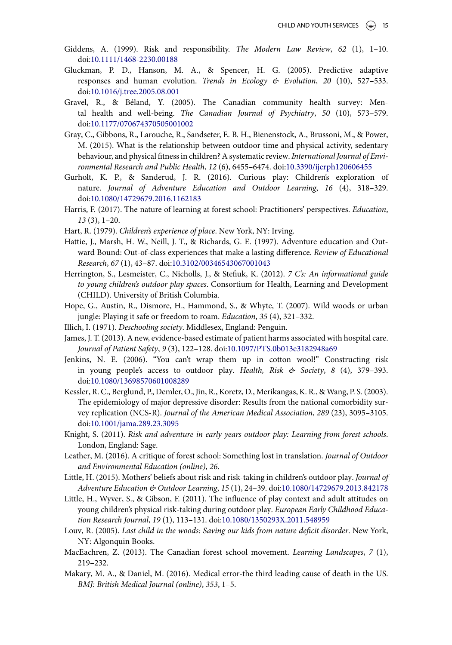- <span id="page-15-2"></span>Giddens, A. (1999). Risk and responsibility. *The Modern Law Review*, *62* (1), 1–10. doi[:10.1111/1468-2230.00188](https://doi.org/10.1111/1468-2230.00188)
- <span id="page-15-0"></span>Gluckman, P. D., Hanson, M. A., & Spencer, H. G. (2005). Predictive adaptive responses and human evolution. *Trends in Ecology & Evolution*, *20* (10), 527–533. doi[:10.1016/j.tree.2005.08.001](https://doi.org/10.1016/j.tree.2005.08.001)
- <span id="page-15-13"></span>Gravel, R., & Béland, Y. (2005). The Canadian community health survey: Mental health and well-being. *The Canadian Journal of Psychiatry*, *50* (10), 573–579. doi[:10.1177/070674370505001002](https://doi.org/10.1177/070674370505001002)
- <span id="page-15-20"></span>Gray, C., Gibbons, R., Larouche, R., Sandseter, E. B. H., Bienenstock, A., Brussoni, M., & Power, M. (2015). What is the relationship between outdoor time and physical activity, sedentary behaviour, and physical fitness in children? A systematic review. *International Journal of Environmental Research and Public Health*, *12* (6), 6455–6474. doi[:10.3390/ijerph120606455](https://doi.org/10.3390/ijerph120606455)
- <span id="page-15-12"></span>Gurholt, K. P., & Sanderud, J. R. (2016). Curious play: Children's exploration of nature. *Journal of Adventure Education and Outdoor Learning*, *16* (4), 318–329. doi[:10.1080/14729679.2016.1162183](https://doi.org/10.1080/14729679.2016.1162183)
- <span id="page-15-10"></span>Harris, F. (2017). The nature of learning at forest school: Practitioners' perspectives. *Education*, *13* (3), 1–20.
- <span id="page-15-17"></span>Hart, R. (1979). *Children's experience of place*. New York, NY: Irving.
- <span id="page-15-15"></span>Hattie, J., Marsh, H. W., Neill, J. T., & Richards, G. E. (1997). Adventure education and Outward Bound: Out-of-class experiences that make a lasting difference. *Review of Educational Research*, *67* (1), 43–87. doi[:10.3102/00346543067001043](https://doi.org/10.3102/00346543067001043)
- <span id="page-15-1"></span>Herrington, S., Lesmeister, C., Nicholls, J., & Stefiuk, K. (2012). *7 C's: An informational guide to young children's outdoor play spaces*. Consortium for Health, Learning and Development (CHILD). University of British Columbia.
- <span id="page-15-16"></span>Hope, G., Austin, R., Dismore, H., Hammond, S., & Whyte, T. (2007). Wild woods or urban jungle: Playing it safe or freedom to roam. *Education*, *35* (4), 321–332.
- <span id="page-15-9"></span>Illich, I. (1971). *Deschooling society*. Middlesex, England: Penguin.
- <span id="page-15-18"></span>James, J. T. (2013). A new, evidence-based estimate of patient harms associated with hospital care. *Journal of Patient Safety*, *9* (3), 122–128. doi[:10.1097/PTS.0b013e3182948a69](https://doi.org/10.1097/PTS.0b013e3182948a69)
- <span id="page-15-3"></span>Jenkins, N. E. (2006). "You can't wrap them up in cotton wool!" Constructing risk in young people's access to outdoor play. *Health, Risk & Society*, *8* (4), 379–393. doi[:10.1080/13698570601008289](https://doi.org/10.1080/13698570601008289)
- <span id="page-15-14"></span>Kessler, R. C., Berglund, P., Demler, O., Jin, R., Koretz, D., Merikangas, K. R., & Wang, P. S. (2003). The epidemiology of major depressive disorder: Results from the national comorbidity survey replication (NCS-R). *Journal of the American Medical Association*, *289* (23), 3095–3105. doi[:10.1001/jama.289.23.3095](https://doi.org/10.1001/jama.289.23.3095)
- <span id="page-15-4"></span>Knight, S. (2011). *Risk and adventure in early years outdoor play: Learning from forest schools*. London, England: Sage.
- <span id="page-15-8"></span>Leather, M. (2016). A critique of forest school: Something lost in translation. *Journal of Outdoor and Environmental Education (online)*, *26*.
- <span id="page-15-7"></span>Little, H. (2015). Mothers' beliefs about risk and risk-taking in children's outdoor play. *Journal of Adventure Education & Outdoor Learning*, *15* (1), 24–39. doi[:10.1080/14729679.2013.842178](https://doi.org/10.1080/14729679.2013.842178)
- <span id="page-15-6"></span>Little, H., Wyver, S., & Gibson, F. (2011). The influence of play context and adult attitudes on young children's physical risk-taking during outdoor play. *European Early Childhood Education Research Journal*, *19* (1), 113–131. doi[:10.1080/1350293X.2011.548959](https://doi.org/10.1080/1350293X.2011.548959)
- <span id="page-15-5"></span>Louv, R. (2005). *Last child in the woods: Saving our kids from nature deficit disorder*. New York, NY: Algonquin Books.
- <span id="page-15-11"></span>MacEachren, Z. (2013). The Canadian forest school movement. *Learning Landscapes*, *7* (1), 219–232.
- <span id="page-15-19"></span>Makary, M. A., & Daniel, M. (2016). Medical error-the third leading cause of death in the US. *BMJ: British Medical Journal (online)*, *353*, 1–5.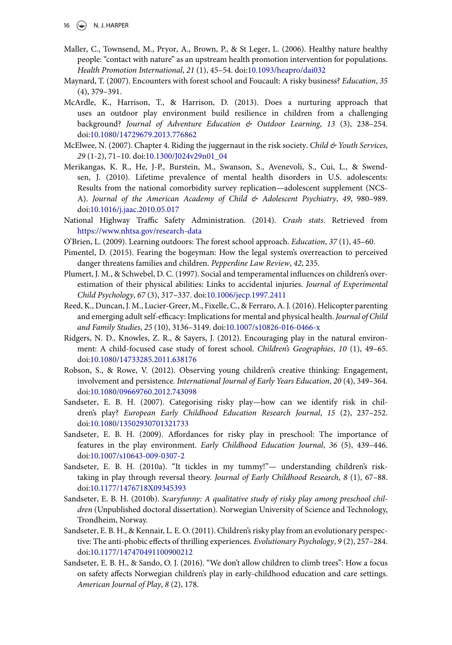- <span id="page-16-9"></span>Maller, C., Townsend, M., Pryor, A., Brown, P., & St Leger, L. (2006). Healthy nature healthy people: "contact with nature" as an upstream health promotion intervention for populations. *Health Promotion International*, *21* (1), 45–54. doi[:10.1093/heapro/dai032](https://doi.org/10.1093/heapro/dai032)
- <span id="page-16-7"></span>Maynard, T. (2007). Encounters with forest school and Foucault: A risky business? *Education*, *35* (4), 379–391.
- <span id="page-16-11"></span>McArdle, K., Harrison, T., & Harrison, D. (2013). Does a nurturing approach that uses an outdoor play environment build resilience in children from a challenging background? *Journal of Adventure Education & Outdoor Learning*, *13* (3), 238–254. doi[:10.1080/14729679.2013.776862](https://doi.org/10.1080/14729679.2013.776862)
- <span id="page-16-15"></span>McElwee, N. (2007). Chapter 4. Riding the juggernaut in the risk society. *Child & Youth Services*, *29* (1-2), 71–10. doi[:10.1300/J024v29n01\\_04](https://doi.org/10.1300/J024v29n01_04)
- <span id="page-16-8"></span>Merikangas, K. R., He, J-P., Burstein, M., Swanson, S., Avenevoli, S., Cui, L., & Swendsen, J. (2010). Lifetime prevalence of mental health disorders in U.S. adolescents: Results from the national comorbidity survey replication—adolescent supplement (NCS-A). *Journal of the American Academy of Child & Adolescent Psychiatry*, *49*, 980–989. doi[:10.1016/j.jaac.2010.05.017](https://doi.org/10.1016/j.jaac.2010.05.017)
- <span id="page-16-16"></span>National Highway Traffic Safety Administration. (2014). *Crash stats*. Retrieved from <https://www.nhtsa.gov/research-data>
- <span id="page-16-5"></span>O'Brien, L. (2009). Learning outdoors: The forest school approach. *Education*, *37* (1), 45–60.
- <span id="page-16-1"></span>Pimentel, D. (2015). Fearing the bogeyman: How the legal system's overreaction to perceived danger threatens families and children. *Pepperdine Law Review*, *42*, 235.
- <span id="page-16-0"></span>Plumert, J. M., & Schwebel, D. C. (1997). Social and temperamental influences on children's overestimation of their physical abilities: Links to accidental injuries. *Journal of Experimental Child Psychology*, *67* (3), 317–337. doi[:10.1006/jecp.1997.2411](https://doi.org/10.1006/jecp.1997.2411)
- <span id="page-16-17"></span>Reed, K., Duncan, J. M., Lucier-Greer, M., Fixelle, C., & Ferraro, A. J. (2016). Helicopter parenting and emerging adult self-efficacy: Implications for mental and physical health. *Journal of Child and Family Studies*, *25* (10), 3136–3149. doi[:10.1007/s10826-016-0466-x](https://doi.org/10.1007/s10826-016-0466-x)
- <span id="page-16-6"></span>Ridgers, N. D., Knowles, Z. R., & Sayers, J. (2012). Encouraging play in the natural environment: A child-focused case study of forest school. *Children's Geographies*, *10* (1), 49–65. doi[:10.1080/14733285.2011.638176](https://doi.org/10.1080/14733285.2011.638176)
- <span id="page-16-10"></span>Robson, S., & Rowe, V. (2012). Observing young children's creative thinking: Engagement, involvement and persistence. *International Journal of Early Years Education*, *20* (4), 349–364. doi[:10.1080/09669760.2012.743098](https://doi.org/10.1080/09669760.2012.743098)
- <span id="page-16-2"></span>Sandseter, E. B. H. (2007). Categorising risky play—how can we identify risk in children's play? *European Early Childhood Education Research Journal*, *15* (2), 237–252. doi[:10.1080/13502930701321733](https://doi.org/10.1080/13502930701321733)
- <span id="page-16-12"></span>Sandseter, E. B. H. (2009). Affordances for risky play in preschool: The importance of features in the play environment. *Early Childhood Education Journal*, *36* (5), 439–446. doi[:10.1007/s10643-009-0307-2](https://doi.org/10.1007/s10643-009-0307-2)
- <span id="page-16-13"></span>Sandseter, E. B. H. (2010a). "It tickles in my tummy!"— understanding children's risktaking in play through reversal theory. *Journal of Early Childhood Research*, *8* (1), 67–88. doi[:10.1177/1476718X09345393](https://doi.org/10.1177/1476718X09345393)
- <span id="page-16-14"></span>Sandseter, E. B. H. (2010b). *Scaryfunny: A qualitative study of risky play among preschool children* (Unpublished doctoral dissertation). Norwegian University of Science and Technology, Trondheim, Norway.
- <span id="page-16-4"></span>Sandseter, E. B. H., & Kennair, L. E. O. (2011). Children's risky play from an evolutionary perspective: The anti-phobic effects of thrilling experiences. *Evolutionary Psychology*, *9* (2), 257–284. doi[:10.1177/147470491100900212](https://doi.org/10.1177/147470491100900212)
- <span id="page-16-3"></span>Sandseter, E. B. H., & Sando, O. J. (2016). "We don't allow children to climb trees": How a focus on safety affects Norwegian children's play in early-childhood education and care settings. *American Journal of Play*, *8* (2), 178.